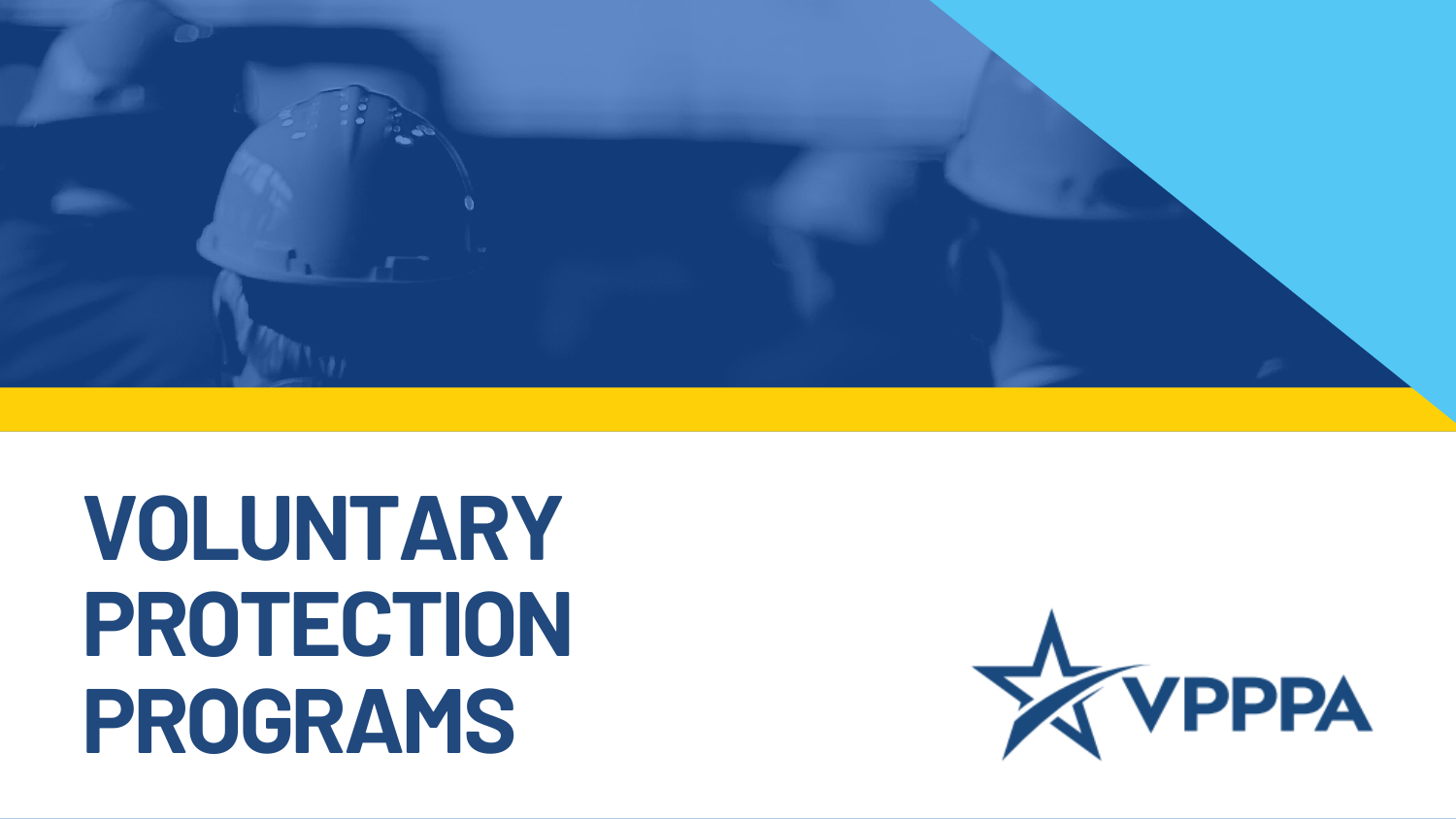

### **VOLUNTARY PROTECTION PROGRAMS**

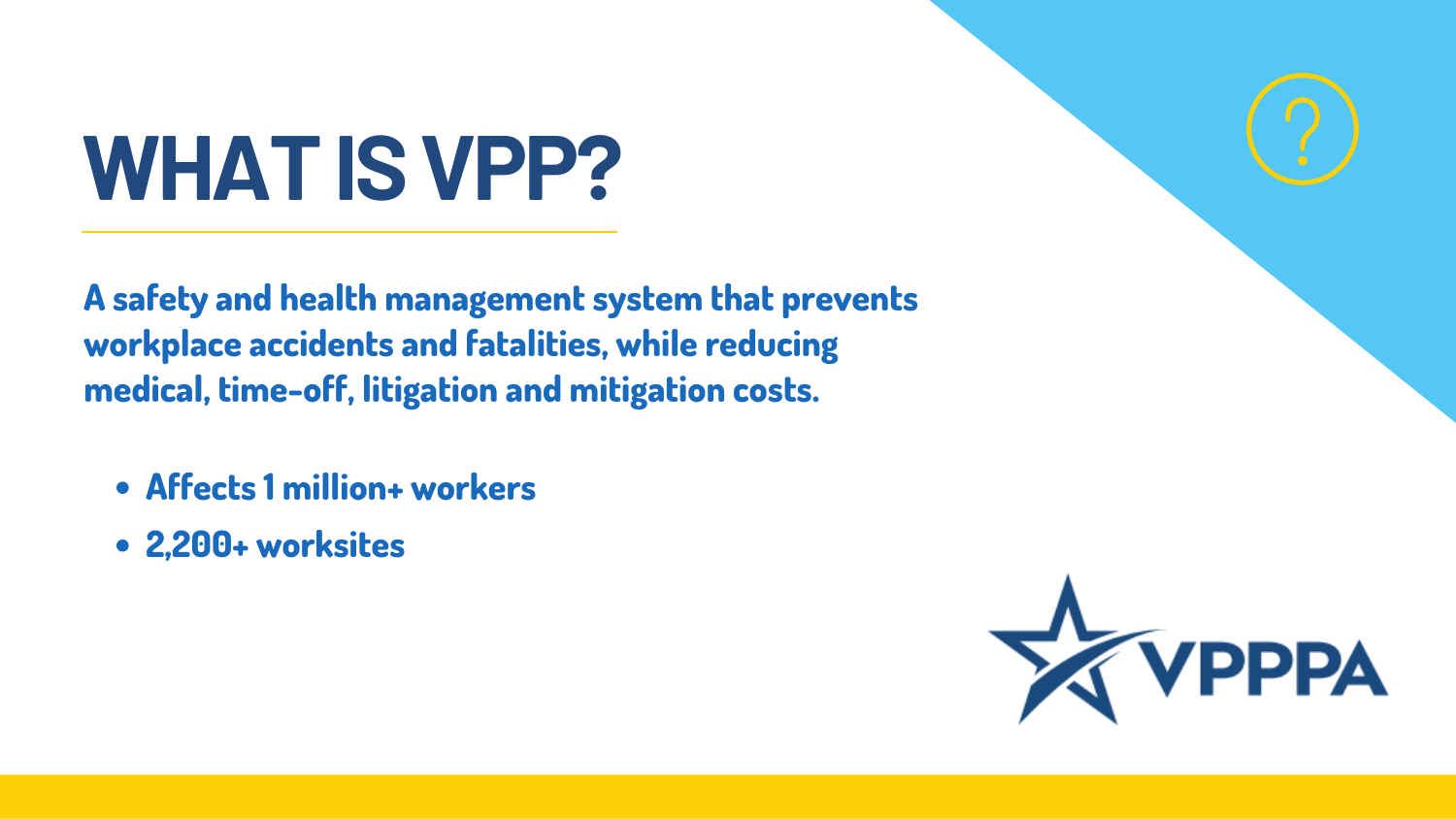# **WHATISVPP?**

- **Affects 1 million+ workers**
- **2,200+ worksites**



**A safety and health management system that prevents workplace accidents and fatalities, while reducing medical, time-off, litigation and mitigation costs.**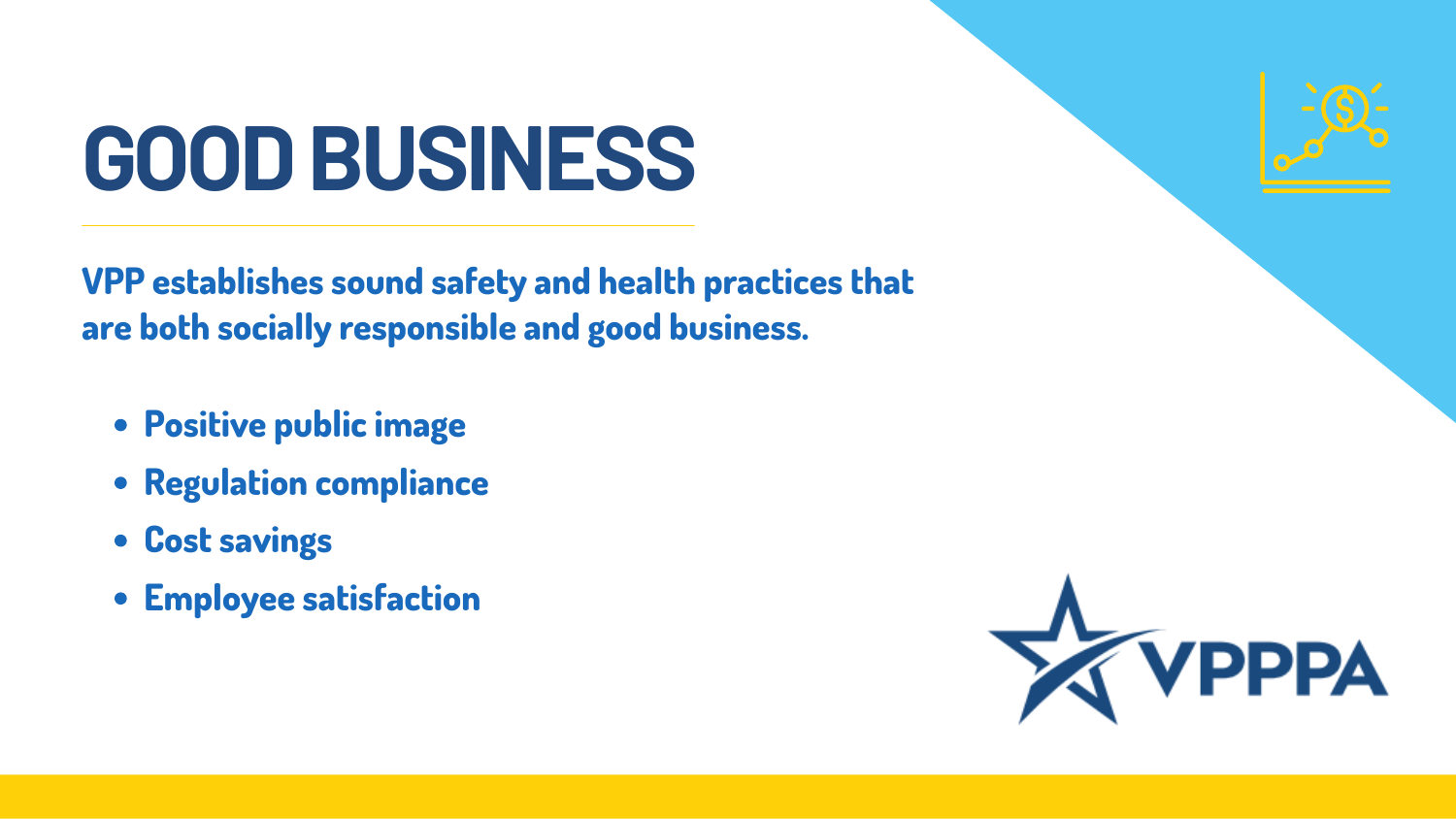- **Positive public image**
- **Regulation compliance**
- **Cost savings**
- **Employee satisfaction**



**VPP establishes sound safety and health practices that are both socially responsible and good business.**

### **GOODBUSINESS**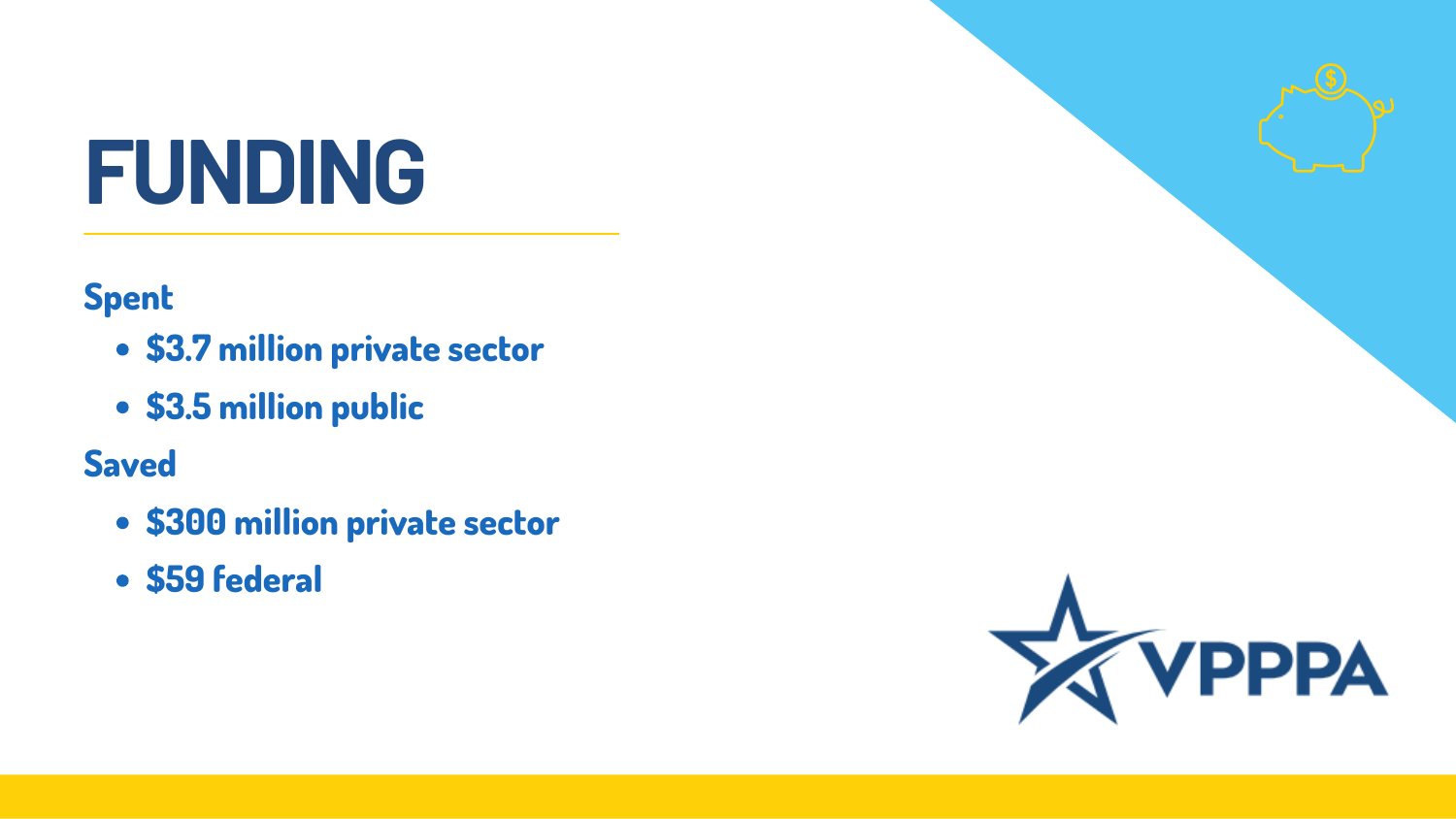- **\$3.7 million private sector**
- **\$3.5 million public**

- **\$300 million private sector**
- **\$59 federal**



#### **Spent**

#### **Saved**

### **FUNDING**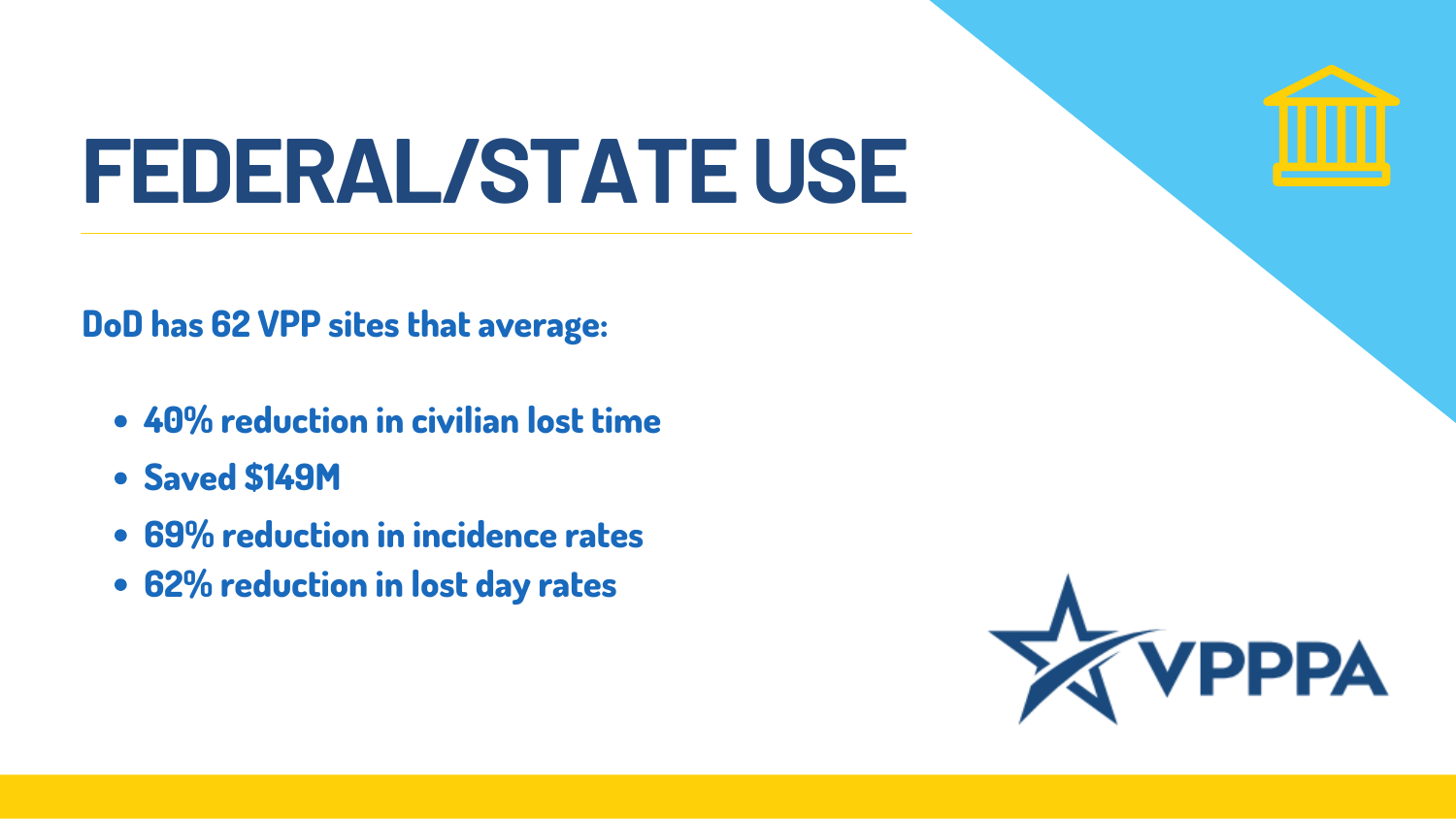#### **FEDERAL/STATEUSE**

- **40% reduction in civilian lost time**
- **Saved \$149M**
- **69% reduction in incidence rates**
- **62% reduction in lost day rates**



**DoD has 62 VPP sites that average:**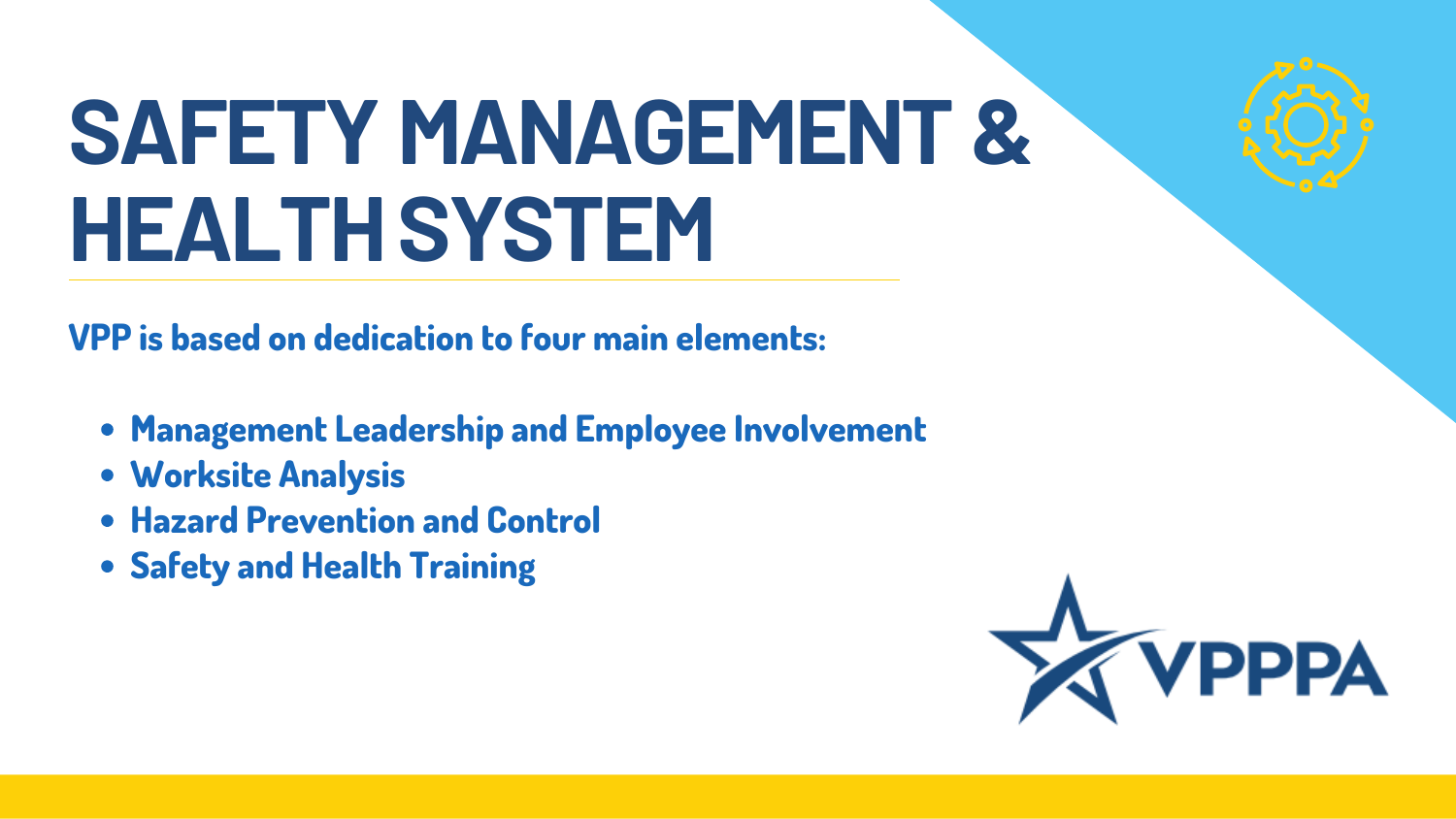# **SAFETY MANAGEMENT & HEALTHSYSTEM**

- **Management Leadership and Employee Involvement**
- **Worksite Analysis**
- **Hazard Prevention and Control**
- **Safety and Health Training**



**VPP is based on dedication to four main elements:**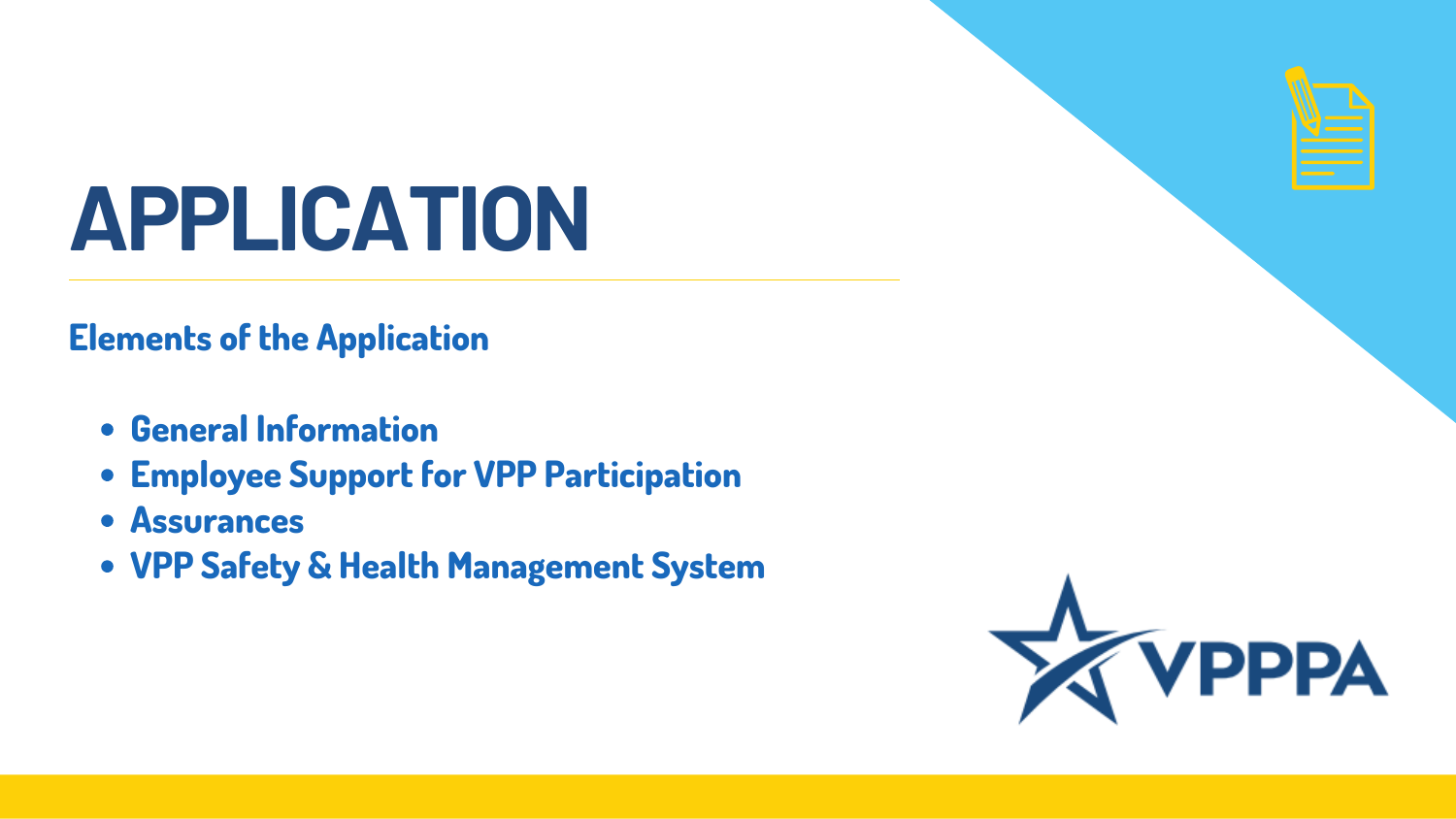## **APPLICATION**

- **General Information**
- **Employee Support for VPP Participation**
- **Assurances**
- **VPP Safety & Health Management System**



#### **Elements of the Application**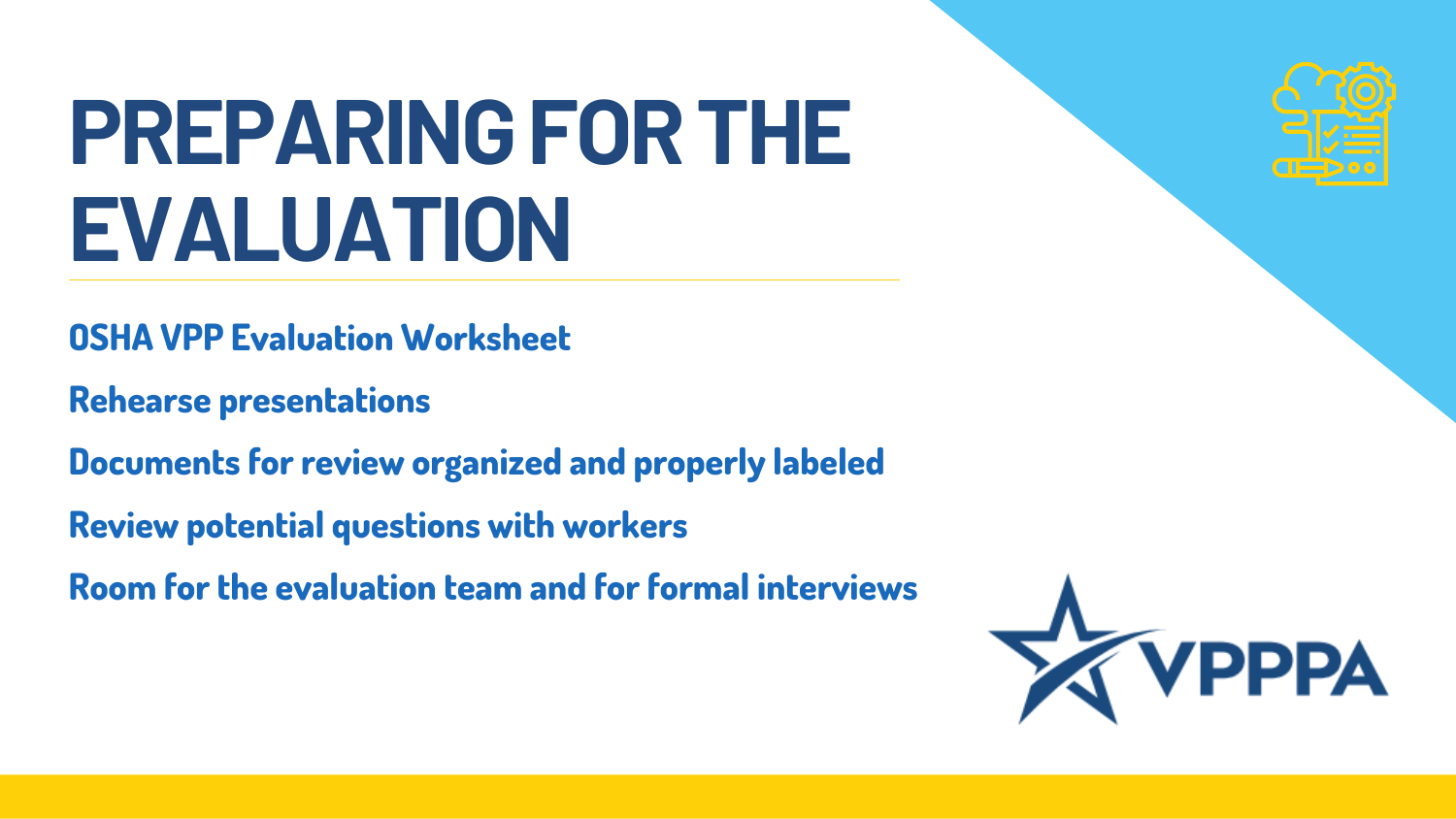# **PREPARINGFORTHE EVALUATION**

**OSHA VPP Evaluation Worksheet**

**Rehearse presentations**

**Documents for review organized and properly labeled**

**Review potential questions with workers**

**Room for the evaluation team and for formal interviews**



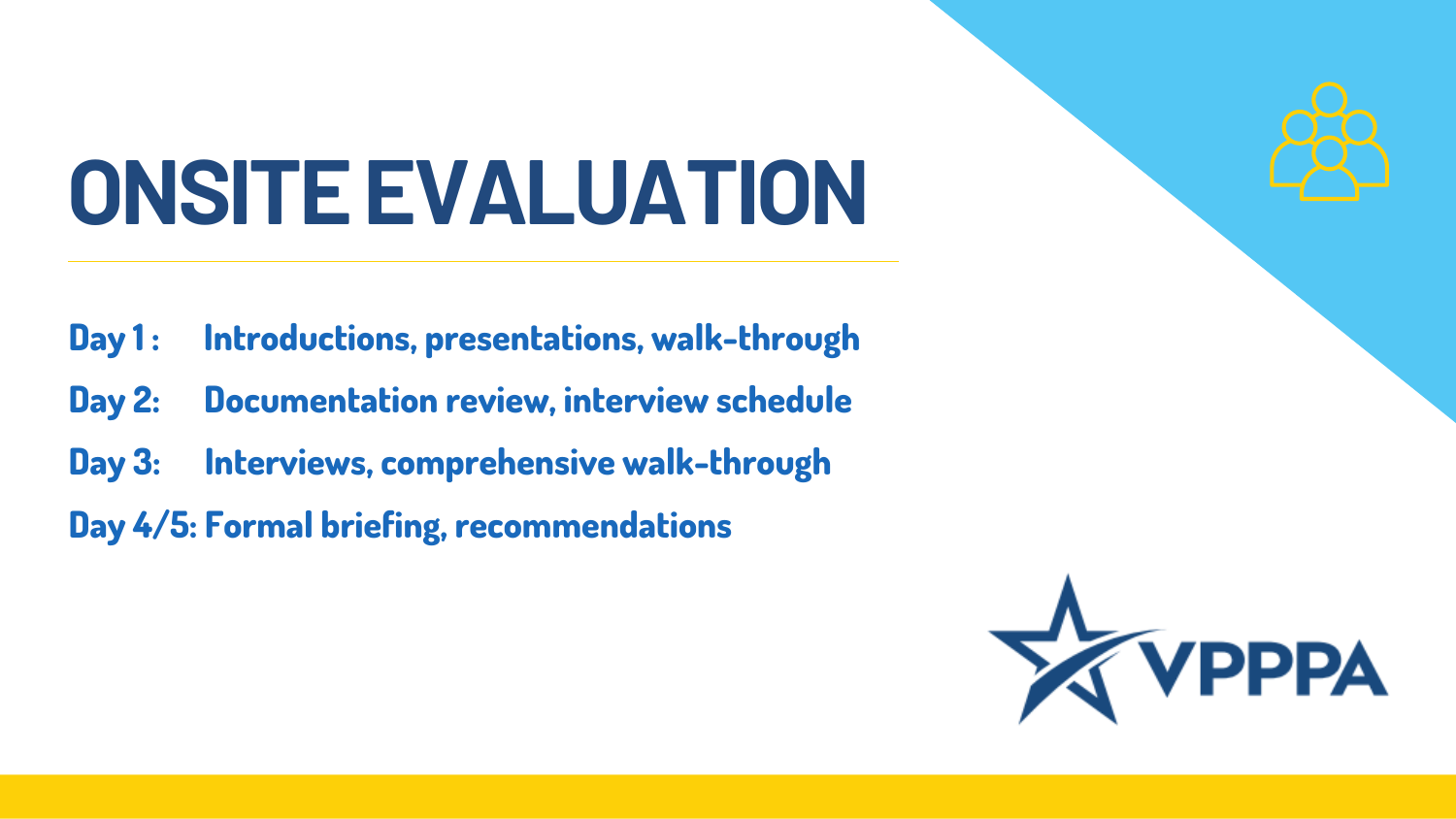## **ONSITEEVALUATION**

- **Day 1 : Introductions, presentations, walk-through**
- **Day 2: Documentation review, interview schedule**
- **Day 3: Interviews, comprehensive walk-through**
- **Day 4/5: Formal briefing, recommendations**

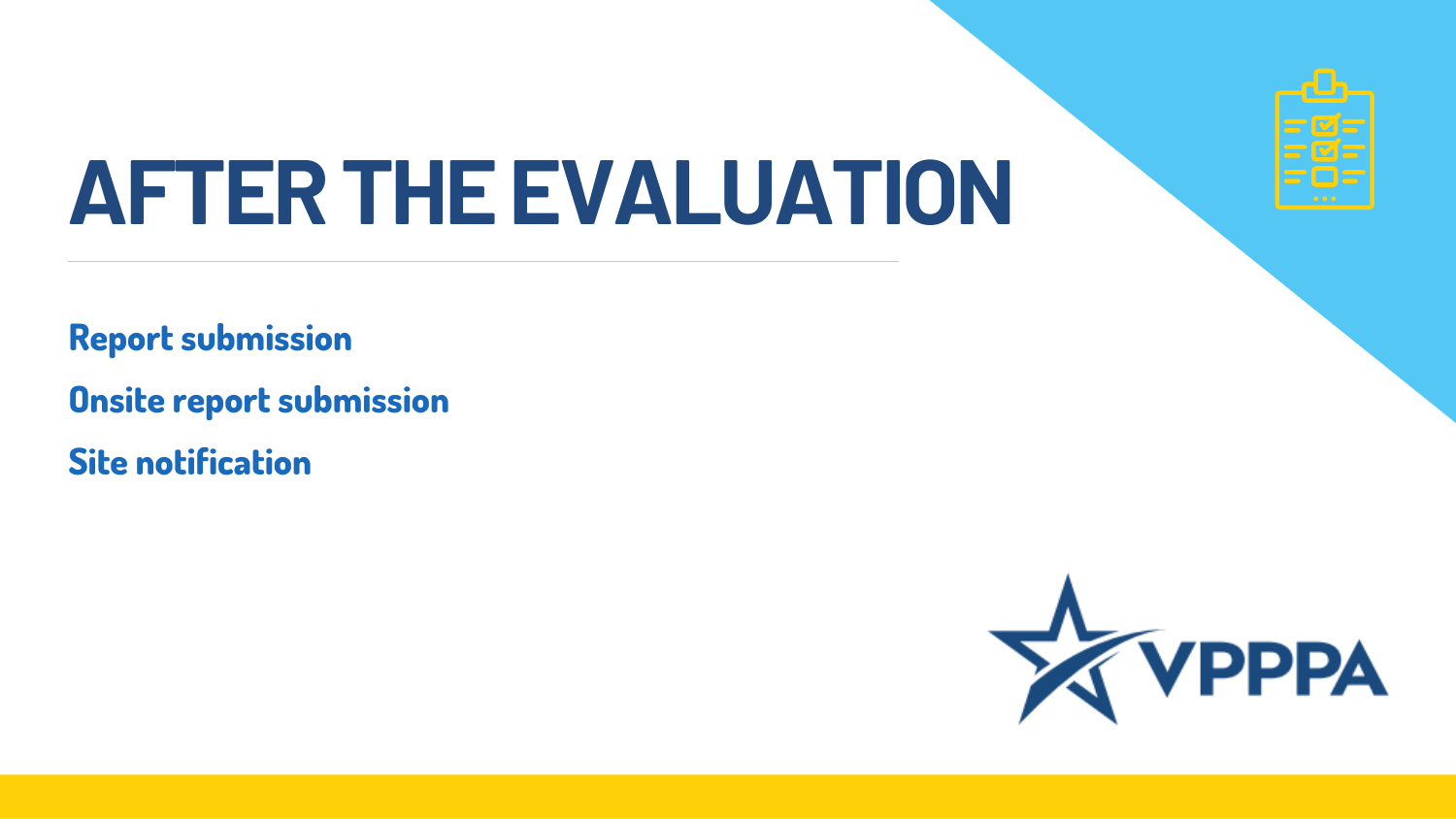### **AFTERTHEEVALUATION**

**Report submission**

**Onsite report submission**

**Site notification**





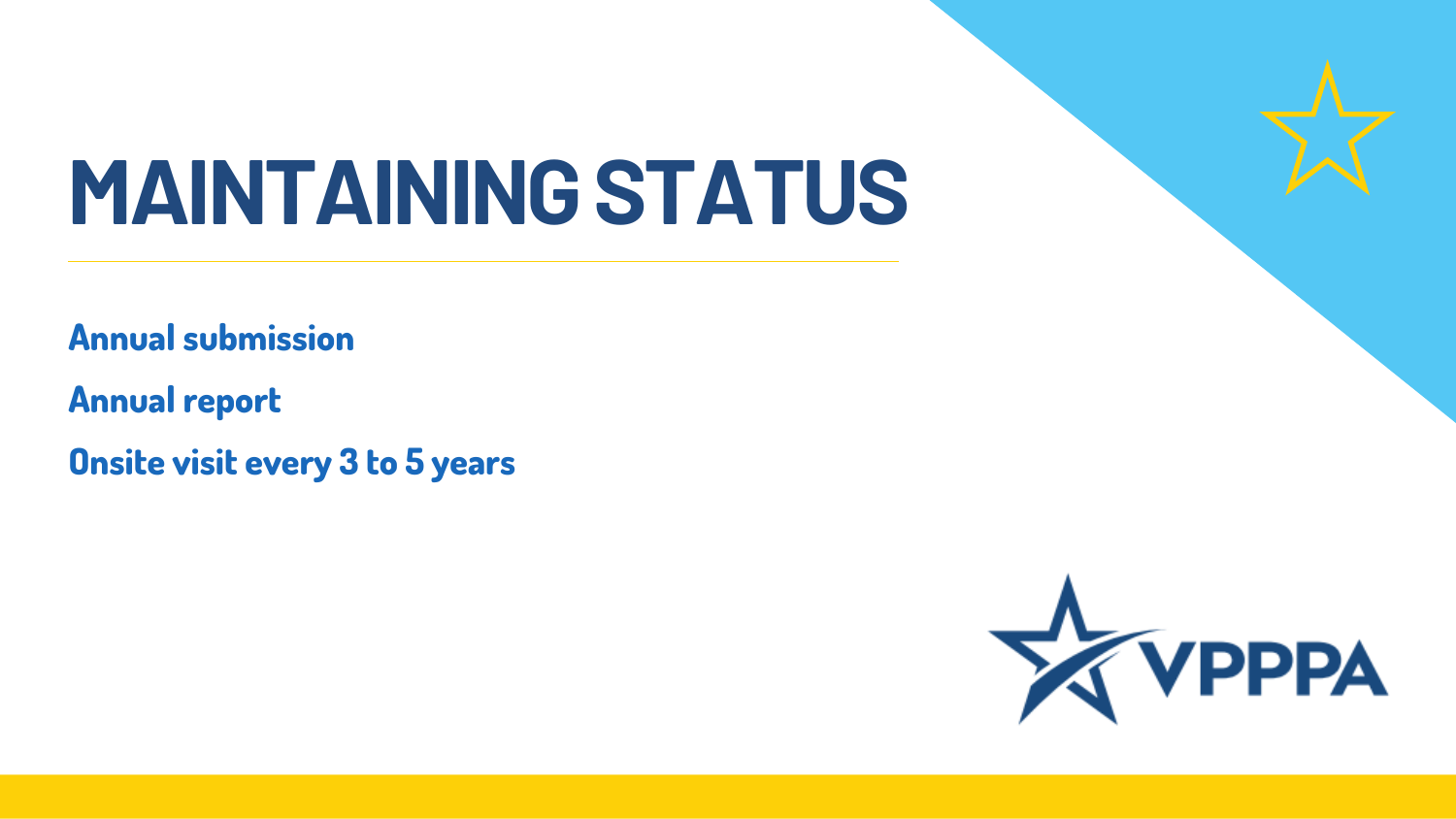### **MAINTAININGSTATUS**

**Annual submission**

**Annual report**

**Onsite visit every 3 to 5 years**